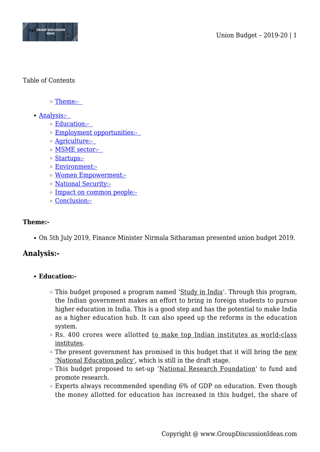

## Table of Contents

- o Theme:-
- [Analysis:-](#page--1-0) 
	- [Education:-](#page--1-0)
	- [Employment opportunities:-](#page--1-0)
	- [Agriculture:-](#page--1-0)
	- o MSME sector:-
	- [Startups:-](#page--1-0)
	- [Environment:-](#page--1-0)
	- [Women Empowerment:-](#page--1-0)
	- [National Security:-](#page--1-0)
	- [Impact on common people:-](#page--1-0)
	- [Conclusion:-](#page--1-0)

#### **Theme:-**

On 5th July 2019, Finance Minister Nirmala Sitharaman presented union budget 2019.

# **Analysis:-**

# **Education:-**

- This budget proposed a program named 'Study in India'. Through this program, the Indian government makes an effort to bring in foreign students to pursue higher education in India. This is a good step and has the potential to make India as a higher education hub. It can also speed up the reforms in the education system.
- o Rs. 400 crores were allotted to make top Indian institutes as world-class institutes.
- $\circ$  The present government has promised in this budget that it will bring the new 'National Education policy', which is still in the draft stage.
- This budget proposed to set-up 'National Research Foundation' to fund and promote research.
- Experts always recommended spending 6% of GDP on education. Even though the money allotted for education has increased in this budget, the share of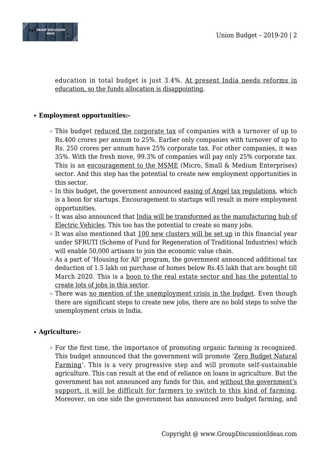

education in total budget is just 3.4%. At present India needs reforms in education, so the funds allocation is disappointing.

# **Employment opportunities:-**

- This budget reduced the corporate tax of companies with a turnover of up to Rs.400 crores per annum to 25%. Earlier only companies with turnover of up to Rs. 250 crores per annum have 25% corporate tax. For other companies, it was 35%. With the fresh move, 99.3% of companies will pay only 25% corporate tax. This is an encouragement to the MSME (Micro, Small & Medium Enterprises) sector. And this step has the potential to create new employment opportunities in this sector.
- $\circ$  In this budget, the government announced easing of Angel tax regulations, which is a boon for startups. Encouragement to startups will result in more employment opportunities.
- It was also announced that India will be transformed as the manufacturing hub of Electric Vehicles. This too has the potential to create so many jobs.
- $\circ$  It was also mentioned that 100 new clusters will be set up in this financial year under SFRUTI (Scheme of Fund for Regeneration of Traditional Industries) which will enable 50,000 artisans to join the economic value chain.
- As a part of 'Housing for All' program, the government announced additional tax deduction of 1.5 lakh on purchase of homes below Rs.45 lakh that are bought till March 2020. This is a boon to the real estate sector and has the potential to create lots of jobs in this sector.
- There was no mention of the unemployment crisis in the budget. Even though there are significant steps to create new jobs, there are no bold steps to solve the unemployment crisis in India.

# **Agriculture:-**

 $\circ$  For the first time, the importance of promoting organic farming is recognized. This budget announced that the government will promote 'Zero Budget Natural Farming'. This is a very progressive step and will promote self-sustainable agriculture. This can result at the end of reliance on loans in agriculture. But the government has not announced any funds for this, and without the government's support, it will be difficult for farmers to switch to this kind of farming. Moreover, on one side the government has announced zero budget farming, and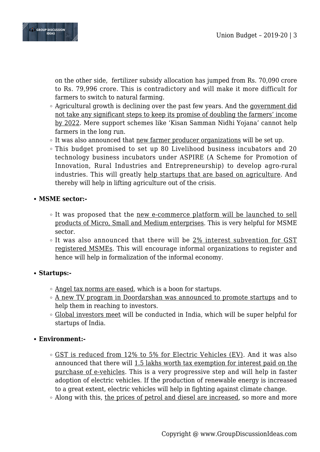

on the other side, fertilizer subsidy allocation has jumped from Rs. 70,090 crore to Rs. 79,996 crore. This is contradictory and will make it more difficult for farmers to switch to natural farming.

- Agricultural growth is declining over the past few years. And the government did not take any significant steps to keep its promise of doubling the farmers' income by 2022. Mere support schemes like 'Kisan Samman Nidhi Yojana' cannot help farmers in the long run.
- $\circ$  It was also announced that new farmer producer organizations will be set up.
- This budget promised to set up 80 Livelihood business incubators and 20 technology business incubators under ASPIRE (A Scheme for Promotion of Innovation, Rural Industries and Entrepreneurship) to develop agro-rural industries. This will greatly help startups that are based on agriculture. And thereby will help in lifting agriculture out of the crisis.
- **MSME sector:-** 
	- $\circ$  It was proposed that the new e-commerce platform will be launched to sell products of Micro, Small and Medium enterprises. This is very helpful for MSME sector.
	- $\circ$  It was also announced that there will be 2% interest subvention for GST registered MSMEs. This will encourage informal organizations to register and hence will help in formalization of the informal economy.

#### **Startups:-**

- Angel tax norms are eased, which is a boon for startups.
- A new TV program in Doordarshan was announced to promote startups and to help them in reaching to investors.
- $\circ$  Global investors meet will be conducted in India, which will be super helpful for startups of India.

# **Environment:-**

- GST is reduced from 12% to 5% for Electric Vehicles (EV). And it was also announced that there will 1.5 lakhs worth tax exemption for interest paid on the purchase of e-vehicles. This is a very progressive step and will help in faster adoption of electric vehicles. If the production of renewable energy is increased to a great extent, electric vehicles will help in fighting against climate change.
- Along with this, the prices of petrol and diesel are increased, so more and more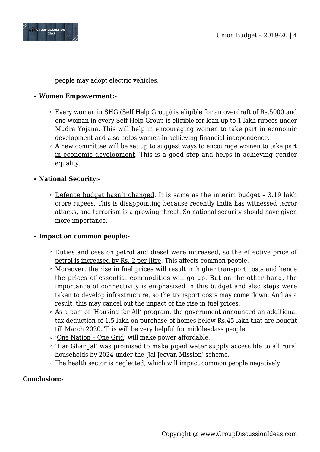

people may adopt electric vehicles.

## **Women Empowerment:-**

- **Every woman in SHG (Self Help Group) is eligible for an overdraft of Rs.5000 and** one woman in every Self Help Group is eligible for loan up to 1 lakh rupees under Mudra Yojana. This will help in encouraging women to take part in economic development and also helps women in achieving financial independence.
- $\circ$  A new committee will be set up to suggest ways to encourage women to take part in economic development. This is a good step and helps in achieving gender equality.

## **National Security:-**

 $\circ$  Defence budget hasn't changed. It is same as the interim budget - 3.19 lakh crore rupees. This is disappointing because recently India has witnessed terror attacks, and terrorism is a growing threat. So national security should have given more importance.

#### **Impact on common people:-**

- Duties and cess on petrol and diesel were increased, so the effective price of petrol is increased by Rs. 2 per litre. This affects common people.
- Moreover, the rise in fuel prices will result in higher transport costs and hence the prices of essential commodities will go up. But on the other hand, the importance of connectivity is emphasized in this budget and also steps were taken to develop infrastructure, so the transport costs may come down. And as a result, this may cancel out the impact of the rise in fuel prices.
- As a part of 'Housing for All' program, the government announced an additional tax deduction of 1.5 lakh on purchase of homes below Rs.45 lakh that are bought till March 2020. This will be very helpful for middle-class people.
- 'One Nation One Grid' will make power affordable.
- 'Har Ghar Jal' was promised to make piped water supply accessible to all rural households by 2024 under the 'Jal Jeevan Mission' scheme.
- The health sector is neglected, which will impact common people negatively.

#### **Conclusion:-**